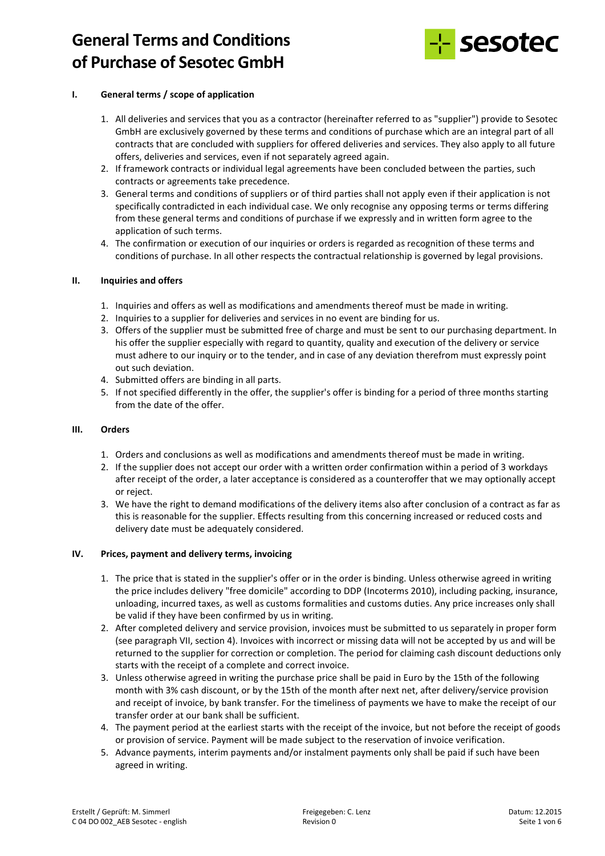

## **I. General terms / scope of application**

- 1. All deliveries and services that you as a contractor (hereinafter referred to as "supplier") provide to Sesotec GmbH are exclusively governed by these terms and conditions of purchase which are an integral part of all contracts that are concluded with suppliers for offered deliveries and services. They also apply to all future offers, deliveries and services, even if not separately agreed again.
- 2. If framework contracts or individual legal agreements have been concluded between the parties, such contracts or agreements take precedence.
- 3. General terms and conditions of suppliers or of third parties shall not apply even if their application is not specifically contradicted in each individual case. We only recognise any opposing terms or terms differing from these general terms and conditions of purchase if we expressly and in written form agree to the application of such terms.
- 4. The confirmation or execution of our inquiries or orders is regarded as recognition of these terms and conditions of purchase. In all other respects the contractual relationship is governed by legal provisions.

## **II. Inquiries and offers**

- 1. Inquiries and offers as well as modifications and amendments thereof must be made in writing.
- 2. Inquiries to a supplier for deliveries and services in no event are binding for us.
- 3. Offers of the supplier must be submitted free of charge and must be sent to our purchasing department. In his offer the supplier especially with regard to quantity, quality and execution of the delivery or service must adhere to our inquiry or to the tender, and in case of any deviation therefrom must expressly point out such deviation.
- 4. Submitted offers are binding in all parts.
- 5. If not specified differently in the offer, the supplier's offer is binding for a period of three months starting from the date of the offer.

## **III. Orders**

- 1. Orders and conclusions as well as modifications and amendments thereof must be made in writing.
- 2. If the supplier does not accept our order with a written order confirmation within a period of 3 workdays after receipt of the order, a later acceptance is considered as a counteroffer that we may optionally accept or reject.
- 3. We have the right to demand modifications of the delivery items also after conclusion of a contract as far as this is reasonable for the supplier. Effects resulting from this concerning increased or reduced costs and delivery date must be adequately considered.

## **IV. Prices, payment and delivery terms, invoicing**

- 1. The price that is stated in the supplier's offer or in the order is binding. Unless otherwise agreed in writing the price includes delivery "free domicile" according to DDP (Incoterms 2010), including packing, insurance, unloading, incurred taxes, as well as customs formalities and customs duties. Any price increases only shall be valid if they have been confirmed by us in writing.
- 2. After completed delivery and service provision, invoices must be submitted to us separately in proper form (see paragraph VII, section 4). Invoices with incorrect or missing data will not be accepted by us and will be returned to the supplier for correction or completion. The period for claiming cash discount deductions only starts with the receipt of a complete and correct invoice.
- 3. Unless otherwise agreed in writing the purchase price shall be paid in Euro by the 15th of the following month with 3% cash discount, or by the 15th of the month after next net, after delivery/service provision and receipt of invoice, by bank transfer. For the timeliness of payments we have to make the receipt of our transfer order at our bank shall be sufficient.
- 4. The payment period at the earliest starts with the receipt of the invoice, but not before the receipt of goods or provision of service. Payment will be made subject to the reservation of invoice verification.
- 5. Advance payments, interim payments and/or instalment payments only shall be paid if such have been agreed in writing.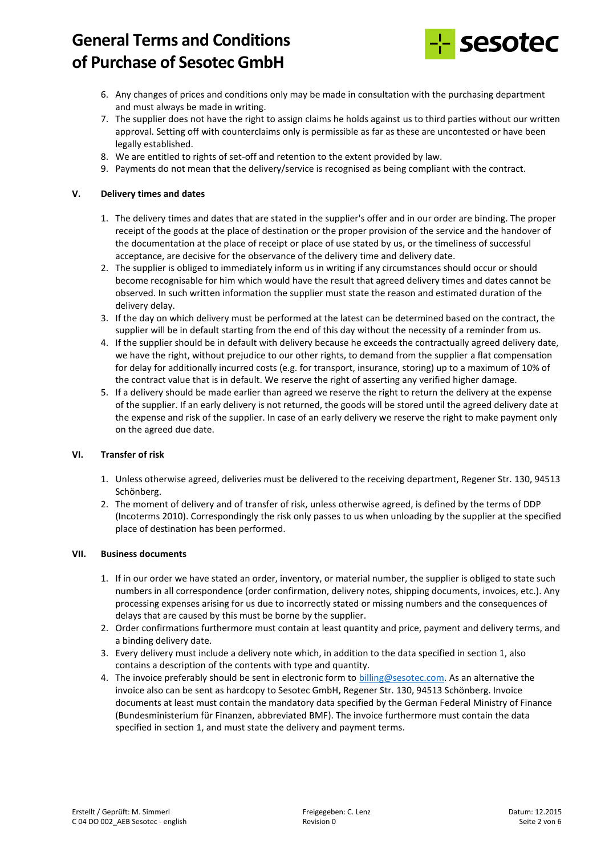

- 6. Any changes of prices and conditions only may be made in consultation with the purchasing department and must always be made in writing.
- 7. The supplier does not have the right to assign claims he holds against us to third parties without our written approval. Setting off with counterclaims only is permissible as far as these are uncontested or have been legally established.
- 8. We are entitled to rights of set-off and retention to the extent provided by law.
- 9. Payments do not mean that the delivery/service is recognised as being compliant with the contract.

## **V. Delivery times and dates**

- 1. The delivery times and dates that are stated in the supplier's offer and in our order are binding. The proper receipt of the goods at the place of destination or the proper provision of the service and the handover of the documentation at the place of receipt or place of use stated by us, or the timeliness of successful acceptance, are decisive for the observance of the delivery time and delivery date.
- 2. The supplier is obliged to immediately inform us in writing if any circumstances should occur or should become recognisable for him which would have the result that agreed delivery times and dates cannot be observed. In such written information the supplier must state the reason and estimated duration of the delivery delay.
- 3. If the day on which delivery must be performed at the latest can be determined based on the contract, the supplier will be in default starting from the end of this day without the necessity of a reminder from us.
- 4. If the supplier should be in default with delivery because he exceeds the contractually agreed delivery date, we have the right, without prejudice to our other rights, to demand from the supplier a flat compensation for delay for additionally incurred costs (e.g. for transport, insurance, storing) up to a maximum of 10% of the contract value that is in default. We reserve the right of asserting any verified higher damage.
- 5. If a delivery should be made earlier than agreed we reserve the right to return the delivery at the expense of the supplier. If an early delivery is not returned, the goods will be stored until the agreed delivery date at the expense and risk of the supplier. In case of an early delivery we reserve the right to make payment only on the agreed due date.

## **VI. Transfer of risk**

- 1. Unless otherwise agreed, deliveries must be delivered to the receiving department, Regener Str. 130, 94513 Schönberg.
- 2. The moment of delivery and of transfer of risk, unless otherwise agreed, is defined by the terms of DDP (Incoterms 2010). Correspondingly the risk only passes to us when unloading by the supplier at the specified place of destination has been performed.

## **VII. Business documents**

- 1. If in our order we have stated an order, inventory, or material number, the supplier is obliged to state such numbers in all correspondence (order confirmation, delivery notes, shipping documents, invoices, etc.). Any processing expenses arising for us due to incorrectly stated or missing numbers and the consequences of delays that are caused by this must be borne by the supplier.
- 2. Order confirmations furthermore must contain at least quantity and price, payment and delivery terms, and a binding delivery date.
- 3. Every delivery must include a delivery note which, in addition to the data specified in section 1, also contains a description of the contents with type and quantity.
- 4. The invoice preferably should be sent in electronic form to billing@sesotec.com. As an alternative the invoice also can be sent as hardcopy to Sesotec GmbH, Regener Str. 130, 94513 Schönberg. Invoice documents at least must contain the mandatory data specified by the German Federal Ministry of Finance (Bundesministerium für Finanzen, abbreviated BMF). The invoice furthermore must contain the data specified in section 1, and must state the delivery and payment terms.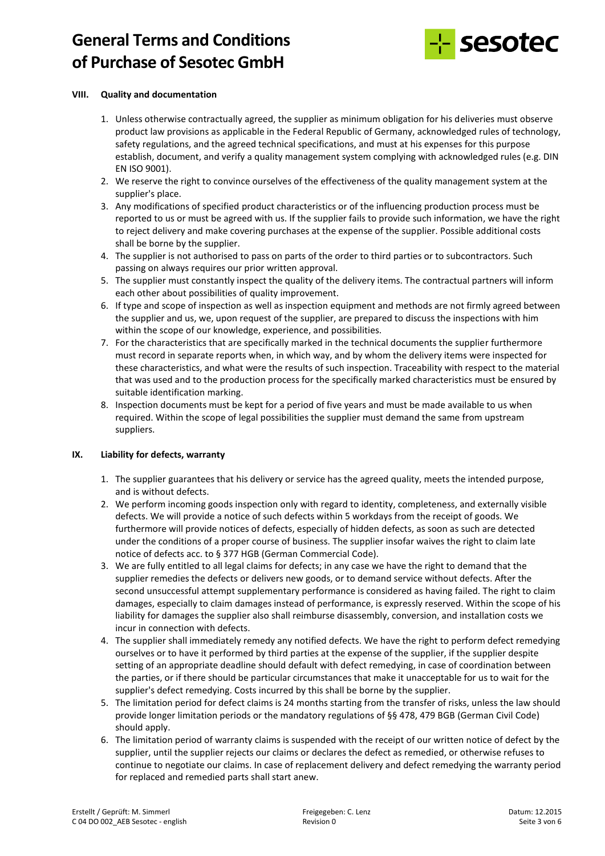

## **VIII. Quality and documentation**

- 1. Unless otherwise contractually agreed, the supplier as minimum obligation for his deliveries must observe product law provisions as applicable in the Federal Republic of Germany, acknowledged rules of technology, safety regulations, and the agreed technical specifications, and must at his expenses for this purpose establish, document, and verify a quality management system complying with acknowledged rules (e.g. DIN EN ISO 9001).
- 2. We reserve the right to convince ourselves of the effectiveness of the quality management system at the supplier's place.
- 3. Any modifications of specified product characteristics or of the influencing production process must be reported to us or must be agreed with us. If the supplier fails to provide such information, we have the right to reject delivery and make covering purchases at the expense of the supplier. Possible additional costs shall be borne by the supplier.
- 4. The supplier is not authorised to pass on parts of the order to third parties or to subcontractors. Such passing on always requires our prior written approval.
- 5. The supplier must constantly inspect the quality of the delivery items. The contractual partners will inform each other about possibilities of quality improvement.
- 6. If type and scope of inspection as well as inspection equipment and methods are not firmly agreed between the supplier and us, we, upon request of the supplier, are prepared to discuss the inspections with him within the scope of our knowledge, experience, and possibilities.
- 7. For the characteristics that are specifically marked in the technical documents the supplier furthermore must record in separate reports when, in which way, and by whom the delivery items were inspected for these characteristics, and what were the results of such inspection. Traceability with respect to the material that was used and to the production process for the specifically marked characteristics must be ensured by suitable identification marking.
- 8. Inspection documents must be kept for a period of five years and must be made available to us when required. Within the scope of legal possibilities the supplier must demand the same from upstream suppliers.

## **IX. Liability for defects, warranty**

- 1. The supplier guarantees that his delivery or service has the agreed quality, meets the intended purpose, and is without defects.
- 2. We perform incoming goods inspection only with regard to identity, completeness, and externally visible defects. We will provide a notice of such defects within 5 workdays from the receipt of goods. We furthermore will provide notices of defects, especially of hidden defects, as soon as such are detected under the conditions of a proper course of business. The supplier insofar waives the right to claim late notice of defects acc. to § 377 HGB (German Commercial Code).
- 3. We are fully entitled to all legal claims for defects; in any case we have the right to demand that the supplier remedies the defects or delivers new goods, or to demand service without defects. After the second unsuccessful attempt supplementary performance is considered as having failed. The right to claim damages, especially to claim damages instead of performance, is expressly reserved. Within the scope of his liability for damages the supplier also shall reimburse disassembly, conversion, and installation costs we incur in connection with defects.
- 4. The supplier shall immediately remedy any notified defects. We have the right to perform defect remedying ourselves or to have it performed by third parties at the expense of the supplier, if the supplier despite setting of an appropriate deadline should default with defect remedying, in case of coordination between the parties, or if there should be particular circumstances that make it unacceptable for us to wait for the supplier's defect remedying. Costs incurred by this shall be borne by the supplier.
- 5. The limitation period for defect claims is 24 months starting from the transfer of risks, unless the law should provide longer limitation periods or the mandatory regulations of §§ 478, 479 BGB (German Civil Code) should apply.
- 6. The limitation period of warranty claims is suspended with the receipt of our written notice of defect by the supplier, until the supplier rejects our claims or declares the defect as remedied, or otherwise refuses to continue to negotiate our claims. In case of replacement delivery and defect remedying the warranty period for replaced and remedied parts shall start anew.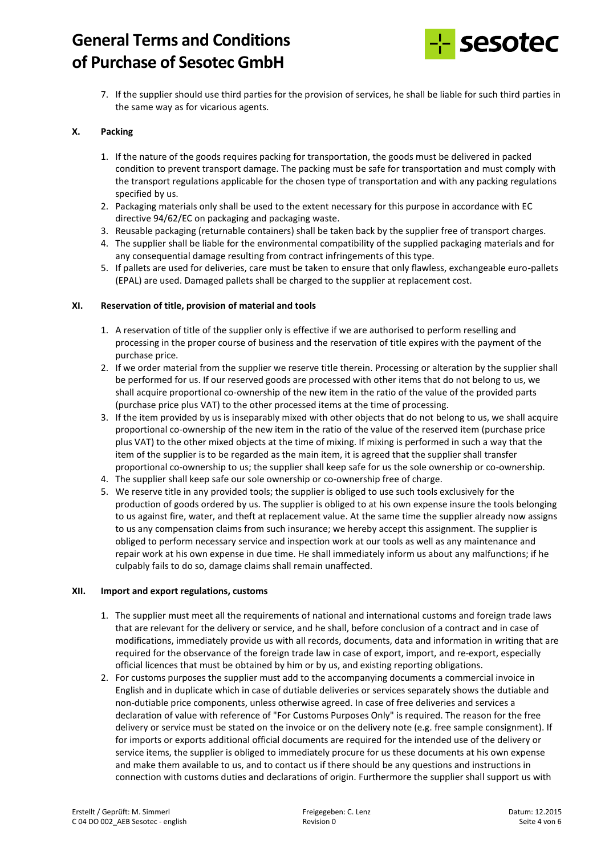

7. If the supplier should use third parties for the provision of services, he shall be liable for such third parties in the same way as for vicarious agents.

## **X. Packing**

- 1. If the nature of the goods requires packing for transportation, the goods must be delivered in packed condition to prevent transport damage. The packing must be safe for transportation and must comply with the transport regulations applicable for the chosen type of transportation and with any packing regulations specified by us.
- 2. Packaging materials only shall be used to the extent necessary for this purpose in accordance with EC directive 94/62/EC on packaging and packaging waste.
- 3. Reusable packaging (returnable containers) shall be taken back by the supplier free of transport charges.
- 4. The supplier shall be liable for the environmental compatibility of the supplied packaging materials and for any consequential damage resulting from contract infringements of this type.
- 5. If pallets are used for deliveries, care must be taken to ensure that only flawless, exchangeable euro-pallets (EPAL) are used. Damaged pallets shall be charged to the supplier at replacement cost.

## **XI. Reservation of title, provision of material and tools**

- 1. A reservation of title of the supplier only is effective if we are authorised to perform reselling and processing in the proper course of business and the reservation of title expires with the payment of the purchase price.
- 2. If we order material from the supplier we reserve title therein. Processing or alteration by the supplier shall be performed for us. If our reserved goods are processed with other items that do not belong to us, we shall acquire proportional co-ownership of the new item in the ratio of the value of the provided parts (purchase price plus VAT) to the other processed items at the time of processing.
- 3. If the item provided by us is inseparably mixed with other objects that do not belong to us, we shall acquire proportional co-ownership of the new item in the ratio of the value of the reserved item (purchase price plus VAT) to the other mixed objects at the time of mixing. If mixing is performed in such a way that the item of the supplier is to be regarded as the main item, it is agreed that the supplier shall transfer proportional co-ownership to us; the supplier shall keep safe for us the sole ownership or co-ownership.
- 4. The supplier shall keep safe our sole ownership or co-ownership free of charge.
- 5. We reserve title in any provided tools; the supplier is obliged to use such tools exclusively for the production of goods ordered by us. The supplier is obliged to at his own expense insure the tools belonging to us against fire, water, and theft at replacement value. At the same time the supplier already now assigns to us any compensation claims from such insurance; we hereby accept this assignment. The supplier is obliged to perform necessary service and inspection work at our tools as well as any maintenance and repair work at his own expense in due time. He shall immediately inform us about any malfunctions; if he culpably fails to do so, damage claims shall remain unaffected.

## **XII. Import and export regulations, customs**

- 1. The supplier must meet all the requirements of national and international customs and foreign trade laws that are relevant for the delivery or service, and he shall, before conclusion of a contract and in case of modifications, immediately provide us with all records, documents, data and information in writing that are required for the observance of the foreign trade law in case of export, import, and re-export, especially official licences that must be obtained by him or by us, and existing reporting obligations.
- 2. For customs purposes the supplier must add to the accompanying documents a commercial invoice in English and in duplicate which in case of dutiable deliveries or services separately shows the dutiable and non-dutiable price components, unless otherwise agreed. In case of free deliveries and services a declaration of value with reference of "For Customs Purposes Only" is required. The reason for the free delivery or service must be stated on the invoice or on the delivery note (e.g. free sample consignment). If for imports or exports additional official documents are required for the intended use of the delivery or service items, the supplier is obliged to immediately procure for us these documents at his own expense and make them available to us, and to contact us if there should be any questions and instructions in connection with customs duties and declarations of origin. Furthermore the supplier shall support us with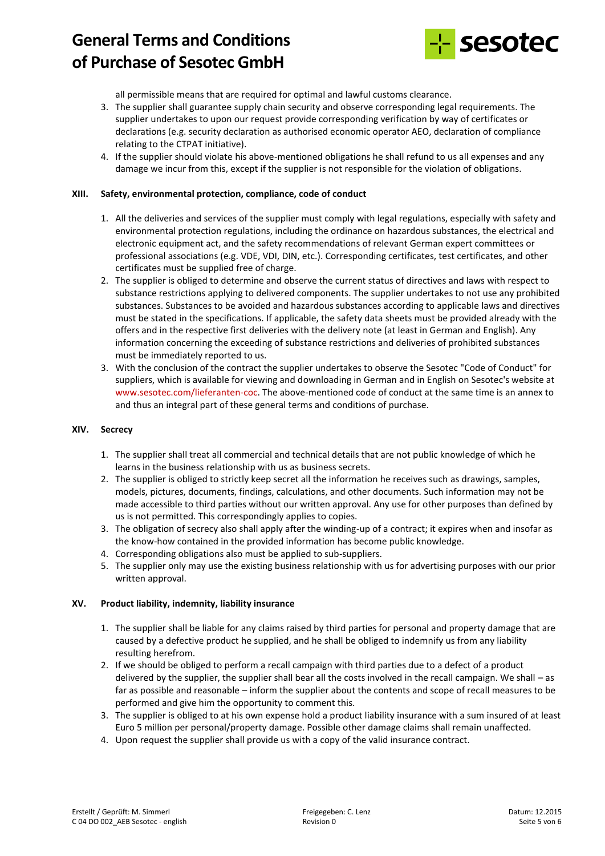

all permissible means that are required for optimal and lawful customs clearance.

- 3. The supplier shall guarantee supply chain security and observe corresponding legal requirements. The supplier undertakes to upon our request provide corresponding verification by way of certificates or declarations (e.g. security declaration as authorised economic operator AEO, declaration of compliance relating to the CTPAT initiative).
- 4. If the supplier should violate his above-mentioned obligations he shall refund to us all expenses and any damage we incur from this, except if the supplier is not responsible for the violation of obligations.

## **XIII. Safety, environmental protection, compliance, code of conduct**

- 1. All the deliveries and services of the supplier must comply with legal regulations, especially with safety and environmental protection regulations, including the ordinance on hazardous substances, the electrical and electronic equipment act, and the safety recommendations of relevant German expert committees or professional associations (e.g. VDE, VDI, DIN, etc.). Corresponding certificates, test certificates, and other certificates must be supplied free of charge.
- 2. The supplier is obliged to determine and observe the current status of directives and laws with respect to substance restrictions applying to delivered components. The supplier undertakes to not use any prohibited substances. Substances to be avoided and hazardous substances according to applicable laws and directives must be stated in the specifications. If applicable, the safety data sheets must be provided already with the offers and in the respective first deliveries with the delivery note (at least in German and English). Any information concerning the exceeding of substance restrictions and deliveries of prohibited substances must be immediately reported to us.
- 3. With the conclusion of the contract the supplier undertakes to observe the Sesotec "Code of Conduct" for suppliers, which is available for viewing and downloading in German and in English on Sesotec's website at www.sesotec.com/lieferanten-coc. The above-mentioned code of conduct at the same time is an annex to and thus an integral part of these general terms and conditions of purchase.

#### **XIV. Secrecy**

- 1. The supplier shall treat all commercial and technical details that are not public knowledge of which he learns in the business relationship with us as business secrets.
- 2. The supplier is obliged to strictly keep secret all the information he receives such as drawings, samples, models, pictures, documents, findings, calculations, and other documents. Such information may not be made accessible to third parties without our written approval. Any use for other purposes than defined by us is not permitted. This correspondingly applies to copies.
- 3. The obligation of secrecy also shall apply after the winding-up of a contract; it expires when and insofar as the know-how contained in the provided information has become public knowledge.
- 4. Corresponding obligations also must be applied to sub-suppliers.
- 5. The supplier only may use the existing business relationship with us for advertising purposes with our prior written approval.

## **XV. Product liability, indemnity, liability insurance**

- 1. The supplier shall be liable for any claims raised by third parties for personal and property damage that are caused by a defective product he supplied, and he shall be obliged to indemnify us from any liability resulting herefrom.
- 2. If we should be obliged to perform a recall campaign with third parties due to a defect of a product delivered by the supplier, the supplier shall bear all the costs involved in the recall campaign. We shall – as far as possible and reasonable – inform the supplier about the contents and scope of recall measures to be performed and give him the opportunity to comment this.
- 3. The supplier is obliged to at his own expense hold a product liability insurance with a sum insured of at least Euro 5 million per personal/property damage. Possible other damage claims shall remain unaffected.
- 4. Upon request the supplier shall provide us with a copy of the valid insurance contract.